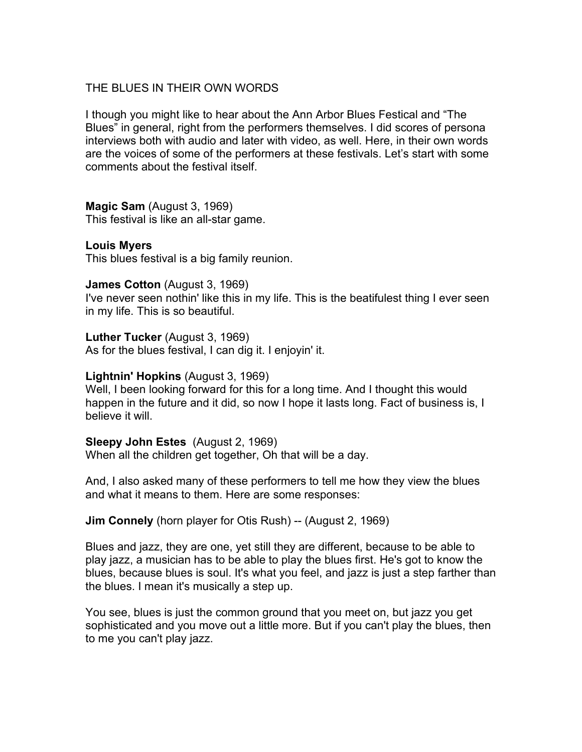### THE BLUES IN THEIR OWN WORDS

I though you might like to hear about the Ann Arbor Blues Festical and "The Blues" in general, right from the performers themselves. I did scores of persona interviews both with audio and later with video, as well. Here, in their own words are the voices of some of the performers at these festivals. Let's start with some comments about the festival itself.

**Magic Sam** (August 3, 1969) This festival is like an all-star game.

# **Louis Myers**

This blues festival is a big family reunion.

### **James Cotton** (August 3, 1969)

I've never seen nothin' like this in my life. This is the beatifulest thing I ever seen in my life. This is so beautiful.

### **Luther Tucker** (August 3, 1969)

As for the blues festival, I can dig it. I enjoyin' it.

### **Lightnin' Hopkins** (August 3, 1969)

Well, I been looking forward for this for a long time. And I thought this would happen in the future and it did, so now I hope it lasts long. Fact of business is, I believe it will

### **Sleepy John Estes** (August 2, 1969)

When all the children get together, Oh that will be a day.

And, I also asked many of these performers to tell me how they view the blues and what it means to them. Here are some responses:

### **Jim Connely** (horn player for Otis Rush) -- (August 2, 1969)

Blues and jazz, they are one, yet still they are different, because to be able to play jazz, a musician has to be able to play the blues first. He's got to know the blues, because blues is soul. It's what you feel, and jazz is just a step farther than the blues. I mean it's musically a step up.

You see, blues is just the common ground that you meet on, but jazz you get sophisticated and you move out a little more. But if you can't play the blues, then to me you can't play jazz.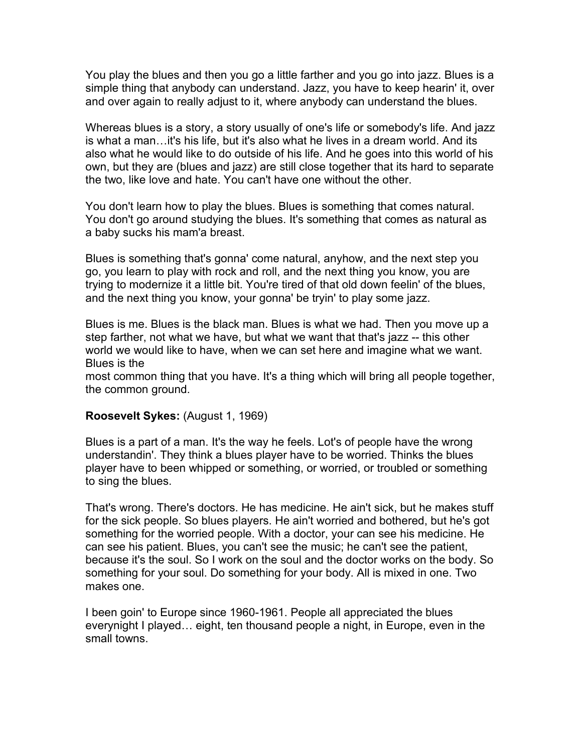You play the blues and then you go a little farther and you go into jazz. Blues is a simple thing that anybody can understand. Jazz, you have to keep hearin' it, over and over again to really adjust to it, where anybody can understand the blues.

Whereas blues is a story, a story usually of one's life or somebody's life. And jazz is what a man…it's his life, but it's also what he lives in a dream world. And its also what he would like to do outside of his life. And he goes into this world of his own, but they are (blues and jazz) are still close together that its hard to separate the two, like love and hate. You can't have one without the other.

You don't learn how to play the blues. Blues is something that comes natural. You don't go around studying the blues. It's something that comes as natural as a baby sucks his mam'a breast.

Blues is something that's gonna' come natural, anyhow, and the next step you go, you learn to play with rock and roll, and the next thing you know, you are trying to modernize it a little bit. You're tired of that old down feelin' of the blues, and the next thing you know, your gonna' be tryin' to play some jazz.

Blues is me. Blues is the black man. Blues is what we had. Then you move up a step farther, not what we have, but what we want that that's jazz -- this other world we would like to have, when we can set here and imagine what we want. Blues is the

most common thing that you have. It's a thing which will bring all people together, the common ground.

### **Roosevelt Sykes:** (August 1, 1969)

Blues is a part of a man. It's the way he feels. Lot's of people have the wrong understandin'. They think a blues player have to be worried. Thinks the blues player have to been whipped or something, or worried, or troubled or something to sing the blues.

That's wrong. There's doctors. He has medicine. He ain't sick, but he makes stuff for the sick people. So blues players. He ain't worried and bothered, but he's got something for the worried people. With a doctor, your can see his medicine. He can see his patient. Blues, you can't see the music; he can't see the patient, because it's the soul. So I work on the soul and the doctor works on the body. So something for your soul. Do something for your body. All is mixed in one. Two makes one.

I been goin' to Europe since 1960-1961. People all appreciated the blues everynight I played… eight, ten thousand people a night, in Europe, even in the small towns.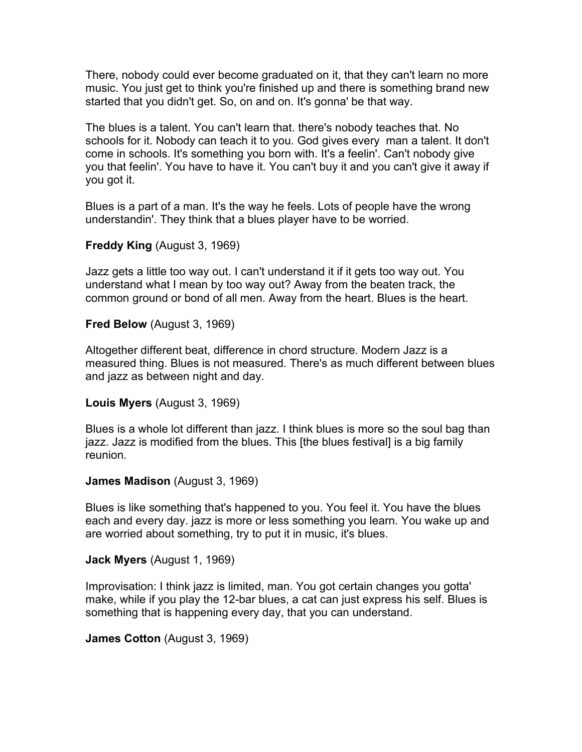There, nobody could ever become graduated on it, that they can't learn no more music. You just get to think you're finished up and there is something brand new started that you didn't get. So, on and on. It's gonna' be that way.

The blues is a talent. You can't learn that. there's nobody teaches that. No schools for it. Nobody can teach it to you. God gives every man a talent. It don't come in schools. It's something you born with. It's a feelin'. Can't nobody give you that feelin'. You have to have it. You can't buy it and you can't give it away if you got it.

Blues is a part of a man. It's the way he feels. Lots of people have the wrong understandin'. They think that a blues player have to be worried.

**Freddy King** (August 3, 1969)

Jazz gets a little too way out. I can't understand it if it gets too way out. You understand what I mean by too way out? Away from the beaten track, the common ground or bond of all men. Away from the heart. Blues is the heart.

**Fred Below** (August 3, 1969)

Altogether different beat, difference in chord structure. Modern Jazz is a measured thing. Blues is not measured. There's as much different between blues and jazz as between night and day.

**Louis Myers** (August 3, 1969)

Blues is a whole lot different than jazz. I think blues is more so the soul bag than jazz. Jazz is modified from the blues. This [the blues festival] is a big family reunion.

**James Madison** (August 3, 1969)

Blues is like something that's happened to you. You feel it. You have the blues each and every day. jazz is more or less something you learn. You wake up and are worried about something, try to put it in music, it's blues.

**Jack Myers** (August 1, 1969)

Improvisation: I think jazz is limited, man. You got certain changes you gotta' make, while if you play the 12-bar blues, a cat can just express his self. Blues is something that is happening every day, that you can understand.

**James Cotton** (August 3, 1969)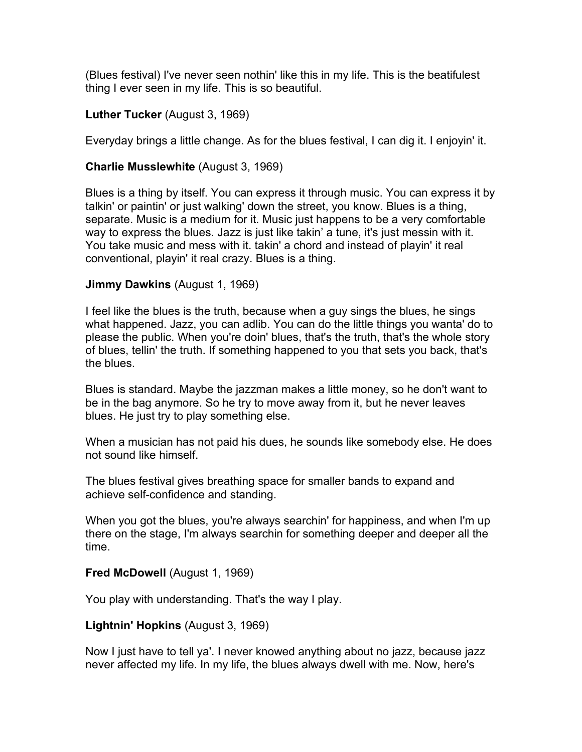(Blues festival) I've never seen nothin' like this in my life. This is the beatifulest thing I ever seen in my life. This is so beautiful.

### **Luther Tucker** (August 3, 1969)

Everyday brings a little change. As for the blues festival, I can dig it. I enjoyin' it.

### **Charlie Musslewhite** (August 3, 1969)

Blues is a thing by itself. You can express it through music. You can express it by talkin' or paintin' or just walking' down the street, you know. Blues is a thing, separate. Music is a medium for it. Music just happens to be a very comfortable way to express the blues. Jazz is just like takin' a tune, it's just messin with it. You take music and mess with it. takin' a chord and instead of playin' it real conventional, playin' it real crazy. Blues is a thing.

### **Jimmy Dawkins** (August 1, 1969)

I feel like the blues is the truth, because when a guy sings the blues, he sings what happened. Jazz, you can adlib. You can do the little things you wanta' do to please the public. When you're doin' blues, that's the truth, that's the whole story of blues, tellin' the truth. If something happened to you that sets you back, that's the blues.

Blues is standard. Maybe the jazzman makes a little money, so he don't want to be in the bag anymore. So he try to move away from it, but he never leaves blues. He just try to play something else.

When a musician has not paid his dues, he sounds like somebody else. He does not sound like himself.

The blues festival gives breathing space for smaller bands to expand and achieve self-confidence and standing.

When you got the blues, you're always searchin' for happiness, and when I'm up there on the stage, I'm always searchin for something deeper and deeper all the time.

### **Fred McDowell (August 1, 1969)**

You play with understanding. That's the way I play.

### **Lightnin' Hopkins** (August 3, 1969)

Now I just have to tell ya'. I never knowed anything about no jazz, because jazz never affected my life. In my life, the blues always dwell with me. Now, here's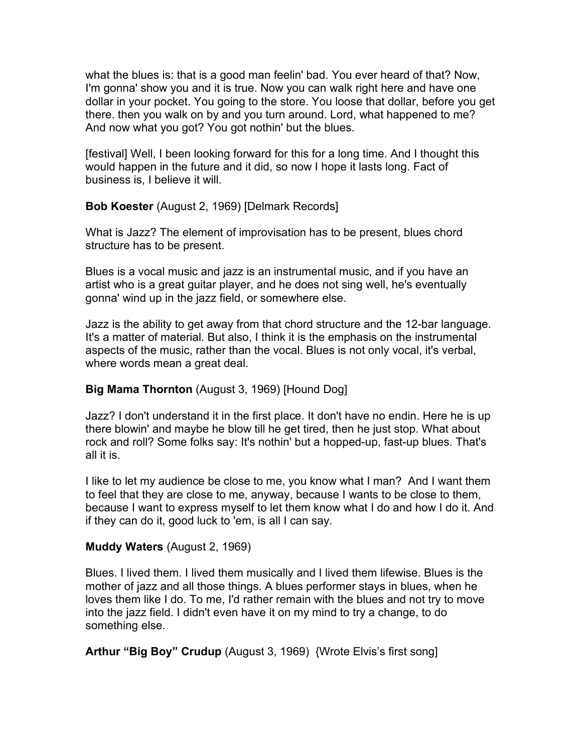what the blues is: that is a good man feelin' bad. You ever heard of that? Now, I'm gonna' show you and it is true. Now you can walk right here and have one dollar in your pocket. You going to the store. You loose that dollar, before you get there. then you walk on by and you turn around. Lord, what happened to me? And now what you got? You got nothin' but the blues.

[festival] Well, I been looking forward for this for a long time. And I thought this would happen in the future and it did, so now I hope it lasts long. Fact of business is, I believe it will.

**Bob Koester** (August 2, 1969) [Delmark Records]

What is Jazz? The element of improvisation has to be present, blues chord structure has to be present.

Blues is a vocal music and jazz is an instrumental music, and if you have an artist who is a great guitar player, and he does not sing well, he's eventually gonna' wind up in the jazz field, or somewhere else.

Jazz is the ability to get away from that chord structure and the 12-bar language. It's a matter of material. But also, I think it is the emphasis on the instrumental aspects of the music, rather than the vocal. Blues is not only vocal, it's verbal, where words mean a great deal.

## **Big Mama Thornton** (August 3, 1969) [Hound Dog]

Jazz? I don't understand it in the first place. It don't have no endin. Here he is up there blowin' and maybe he blow till he get tired, then he just stop. What about rock and roll? Some folks say: It's nothin' but a hopped-up, fast-up blues. That's all it is.

I like to let my audience be close to me, you know what I man? And I want them to feel that they are close to me, anyway, because I wants to be close to them, because I want to express myself to let them know what I do and how I do it. And if they can do it, good luck to 'em, is all I can say.

## **Muddy Waters** (August 2, 1969)

Blues. I lived them. I lived them musically and I lived them lifewise. Blues is the mother of jazz and all those things. A blues performer stays in blues, when he loves them like I do. To me, I'd rather remain with the blues and not try to move into the jazz field. I didn't even have it on my mind to try a change, to do something else.

**Arthur "Big Boy" Crudup** (August 3, 1969) {Wrote Elvis's first song]